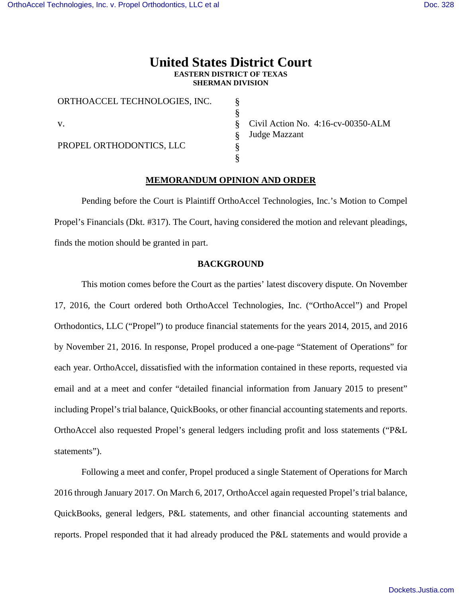# **United States District Court EASTERN DISTRICT OF TEXAS SHERMAN DIVISION**

§ § § § § §

| ORTHOACCEL TECHNOLOGIES, INC. |
|-------------------------------|
| V.                            |
| PROPEL ORTHODONTICS, LLC      |

Civil Action No. 4:16-cv-00350-ALM Judge Mazzant

## **MEMORANDUM OPINION AND ORDER**

Pending before the Court is Plaintiff OrthoAccel Technologies, Inc.'s Motion to Compel Propel's Financials (Dkt. #317). The Court, having considered the motion and relevant pleadings, finds the motion should be granted in part.

## **BACKGROUND**

This motion comes before the Court as the parties' latest discovery dispute. On November 17, 2016, the Court ordered both OrthoAccel Technologies, Inc. ("OrthoAccel") and Propel Orthodontics, LLC ("Propel") to produce financial statements for the years 2014, 2015, and 2016 by November 21, 2016. In response, Propel produced a one-page "Statement of Operations" for each year. OrthoAccel, dissatisfied with the information contained in these reports, requested via email and at a meet and confer "detailed financial information from January 2015 to present" including Propel's trial balance, QuickBooks, or other financial accounting statements and reports. OrthoAccel also requested Propel's general ledgers including profit and loss statements ("P&L statements").

Following a meet and confer, Propel produced a single Statement of Operations for March 2016 through January 2017. On March 6, 2017, OrthoAccel again requested Propel's trial balance, QuickBooks, general ledgers, P&L statements, and other financial accounting statements and reports. Propel responded that it had already produced the P&L statements and would provide a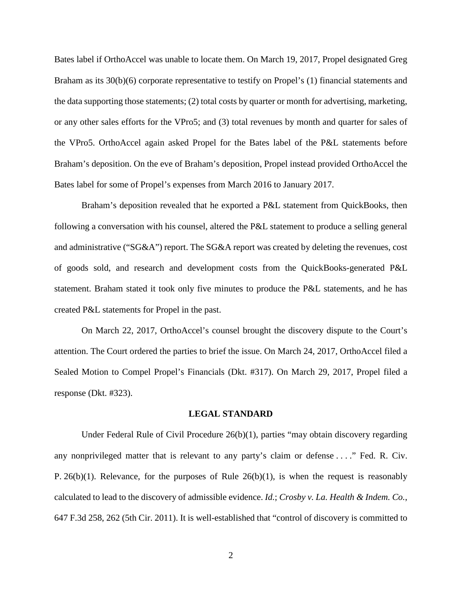Bates label if OrthoAccel was unable to locate them. On March 19, 2017, Propel designated Greg Braham as its 30(b)(6) corporate representative to testify on Propel's (1) financial statements and the data supporting those statements; (2) total costs by quarter or month for advertising, marketing, or any other sales efforts for the VPro5; and (3) total revenues by month and quarter for sales of the VPro5. OrthoAccel again asked Propel for the Bates label of the P&L statements before Braham's deposition. On the eve of Braham's deposition, Propel instead provided OrthoAccel the Bates label for some of Propel's expenses from March 2016 to January 2017.

Braham's deposition revealed that he exported a P&L statement from QuickBooks, then following a conversation with his counsel, altered the P&L statement to produce a selling general and administrative ("SG&A") report. The SG&A report was created by deleting the revenues, cost of goods sold, and research and development costs from the QuickBooks-generated P&L statement. Braham stated it took only five minutes to produce the P&L statements, and he has created P&L statements for Propel in the past.

On March 22, 2017, OrthoAccel's counsel brought the discovery dispute to the Court's attention. The Court ordered the parties to brief the issue. On March 24, 2017, OrthoAccel filed a Sealed Motion to Compel Propel's Financials (Dkt. #317). On March 29, 2017, Propel filed a response (Dkt. #323).

#### **LEGAL STANDARD**

Under Federal Rule of Civil Procedure  $26(b)(1)$ , parties "may obtain discovery regarding any nonprivileged matter that is relevant to any party's claim or defense . . . ." Fed. R. Civ. P. 26(b)(1). Relevance, for the purposes of Rule  $26(b)(1)$ , is when the request is reasonably calculated to lead to the discovery of admissible evidence. *Id.*; *Crosby v. La. Health & Indem. Co.*, 647 F.3d 258, 262 (5th Cir. 2011). It is well-established that "control of discovery is committed to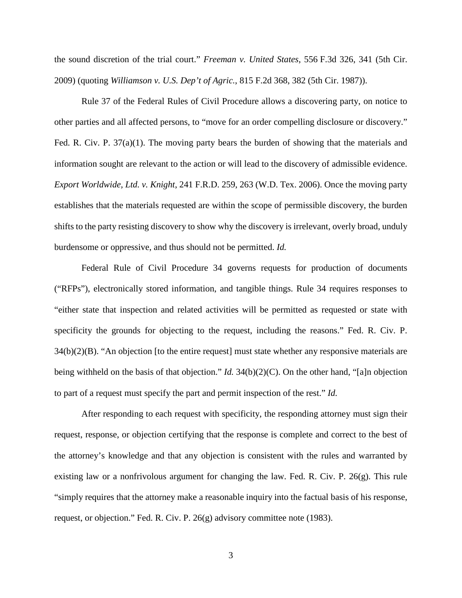the sound discretion of the trial court." *Freeman v. United States*, 556 F.3d 326, 341 (5th Cir. 2009) (quoting *Williamson v. U.S. Dep't of Agric.*, 815 F.2d 368, 382 (5th Cir. 1987)).

Rule 37 of the Federal Rules of Civil Procedure allows a discovering party, on notice to other parties and all affected persons, to "move for an order compelling disclosure or discovery." Fed. R. Civ. P. 37(a)(1). The moving party bears the burden of showing that the materials and information sought are relevant to the action or will lead to the discovery of admissible evidence. *Export Worldwide, Ltd. v. Knight*, 241 F.R.D. 259, 263 (W.D. Tex. 2006). Once the moving party establishes that the materials requested are within the scope of permissible discovery, the burden shifts to the party resisting discovery to show why the discovery is irrelevant, overly broad, unduly burdensome or oppressive, and thus should not be permitted. *Id.*

Federal Rule of Civil Procedure 34 governs requests for production of documents ("RFPs"), electronically stored information, and tangible things. Rule 34 requires responses to "either state that inspection and related activities will be permitted as requested or state with specificity the grounds for objecting to the request, including the reasons." Fed. R. Civ. P. 34(b)(2)(B). "An objection [to the entire request] must state whether any responsive materials are being withheld on the basis of that objection." *Id.* 34(b)(2)(C). On the other hand, "[a]n objection to part of a request must specify the part and permit inspection of the rest." *Id.*

After responding to each request with specificity, the responding attorney must sign their request, response, or objection certifying that the response is complete and correct to the best of the attorney's knowledge and that any objection is consistent with the rules and warranted by existing law or a nonfrivolous argument for changing the law. Fed. R. Civ. P. 26(g). This rule "simply requires that the attorney make a reasonable inquiry into the factual basis of his response, request, or objection." Fed. R. Civ. P. 26(g) advisory committee note (1983).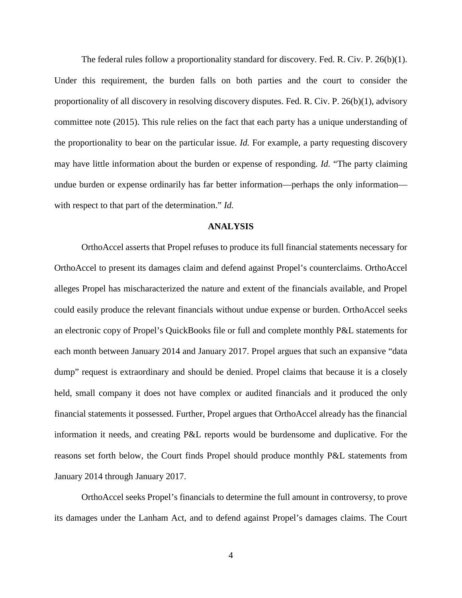The federal rules follow a proportionality standard for discovery. Fed. R. Civ. P. 26(b)(1). Under this requirement, the burden falls on both parties and the court to consider the proportionality of all discovery in resolving discovery disputes. Fed. R. Civ. P. 26(b)(1), advisory committee note (2015). This rule relies on the fact that each party has a unique understanding of the proportionality to bear on the particular issue. *Id.* For example, a party requesting discovery may have little information about the burden or expense of responding. *Id.* "The party claiming undue burden or expense ordinarily has far better information—perhaps the only information with respect to that part of the determination." *Id.*

### **ANALYSIS**

OrthoAccel asserts that Propel refuses to produce its full financial statements necessary for OrthoAccel to present its damages claim and defend against Propel's counterclaims. OrthoAccel alleges Propel has mischaracterized the nature and extent of the financials available, and Propel could easily produce the relevant financials without undue expense or burden. OrthoAccel seeks an electronic copy of Propel's QuickBooks file or full and complete monthly P&L statements for each month between January 2014 and January 2017. Propel argues that such an expansive "data dump" request is extraordinary and should be denied. Propel claims that because it is a closely held, small company it does not have complex or audited financials and it produced the only financial statements it possessed. Further, Propel argues that OrthoAccel already has the financial information it needs, and creating P&L reports would be burdensome and duplicative. For the reasons set forth below, the Court finds Propel should produce monthly P&L statements from January 2014 through January 2017.

OrthoAccel seeks Propel's financials to determine the full amount in controversy, to prove its damages under the Lanham Act, and to defend against Propel's damages claims. The Court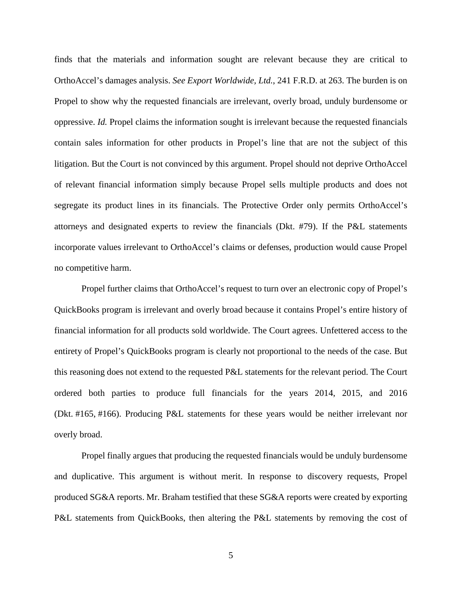finds that the materials and information sought are relevant because they are critical to OrthoAccel's damages analysis. *See Export Worldwide, Ltd.*, 241 F.R.D. at 263. The burden is on Propel to show why the requested financials are irrelevant, overly broad, unduly burdensome or oppressive. *Id.* Propel claims the information sought is irrelevant because the requested financials contain sales information for other products in Propel's line that are not the subject of this litigation. But the Court is not convinced by this argument. Propel should not deprive OrthoAccel of relevant financial information simply because Propel sells multiple products and does not segregate its product lines in its financials. The Protective Order only permits OrthoAccel's attorneys and designated experts to review the financials (Dkt. #79). If the P&L statements incorporate values irrelevant to OrthoAccel's claims or defenses, production would cause Propel no competitive harm.

Propel further claims that OrthoAccel's request to turn over an electronic copy of Propel's QuickBooks program is irrelevant and overly broad because it contains Propel's entire history of financial information for all products sold worldwide. The Court agrees. Unfettered access to the entirety of Propel's QuickBooks program is clearly not proportional to the needs of the case. But this reasoning does not extend to the requested P&L statements for the relevant period. The Court ordered both parties to produce full financials for the years 2014, 2015, and 2016 (Dkt. #165, #166). Producing P&L statements for these years would be neither irrelevant nor overly broad.

Propel finally argues that producing the requested financials would be unduly burdensome and duplicative. This argument is without merit. In response to discovery requests, Propel produced SG&A reports. Mr. Braham testified that these SG&A reports were created by exporting P&L statements from QuickBooks, then altering the P&L statements by removing the cost of